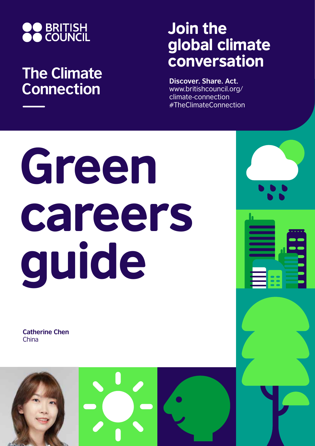

## **The Climate Connection**

## Join the global climate conversation

**Discover. Share. Act.** www.britishcouncil.org/ climate-connection #TheClimateConnection

## Green careers guide

**Catherine Chen** China

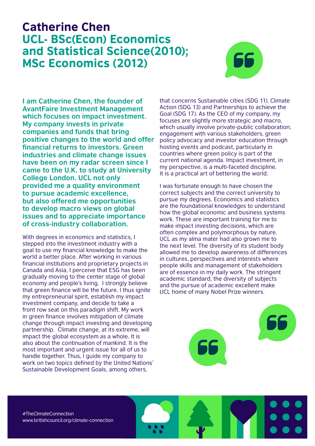## Catherine Chen UCL- BSc(Econ) Economics and Statistical Science(2010); MSc Economics (2012)



**I am Catherine Chen, the founder of AvantFaire Investment Management which focuses on impact investment. My company invests in private companies and funds that bring positive changes to the world and offer financial returns to investors. Green industries and climate change issues have been on my radar screen since I came to the U.K. to study at University College London. UCL not only provided me a quality environment to pursue academic excellence, but also offered me opportunities to develop macro views on global issues and to appreciate importance of cross-industry collaboration.** 

With degrees in economics and statistics, I stepped into the investment industry with a goal to use my financial knowledge to make the world a better place. After working in various financial institutions and proprietary projects in Canada and Asia, I perceive that ESG has been gradually moving to the center stage of global economy and people's living. I strongly believe that green finance will be the future. I thus ignite my entrepreneurial spirit, establish my impact investment company, and decide to take a front row seat on this paradigm shift. My work in green finance involves mitigation of climate change through impact investing and developing partnership. Climate change, at its extreme, will impact the global ecosystem as a whole. It is also about the continuation of mankind. It is the most important and urgent issue for all of us to handle together. Thus, I guide my company to work on two topics defined by the United Nations' Sustainable Development Goals, among others,

that concerns Sustainable cities (SDG 11), Climate Action (SDG 13) and Partnerships to achieve the Goal (SDG 17). As the CEO of my company, my focuses are slightly more strategic and macro, which usually involve private-public collaboration, engagement with various stakeholders, green policy advocacy and investor education through hosting events and podcast, particularly in countries where green policy is part of the current national agenda. Impact investment, in my perspective, is a multi-faceted discipline. It is a practical art of bettering the world.

I was fortunate enough to have chosen the correct subjects and the correct university to pursue my degrees. Economics and statistics are the foundational knowledges to understand how the global economic and business systems work. These are important training for me to make impact investing decisions, which are often complex and polymorphous by nature. UCL as my alma mater had also grown me to the next level. The diversity of its student body allowed me to develop awareness of differences in cultures, perspectives and interests where people skills and management of stakeholders are of essence in my daily work. The stringent academic standard, the diversity of subjects and the pursue of academic excellent make UCL home of many Nobel Prize winners.

#TheClimateConnection www.britishcouncil.org/climate-connection